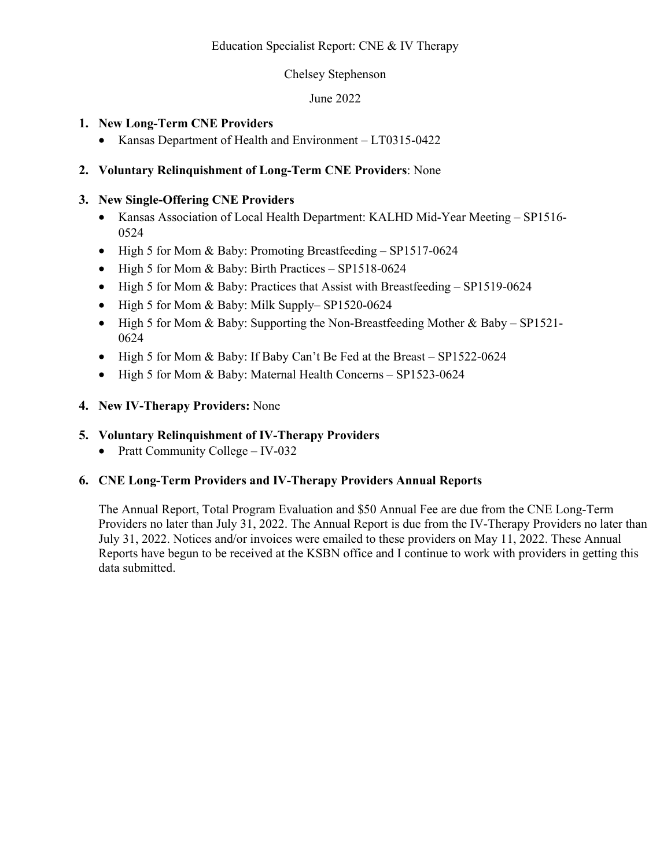## Education Specialist Report: CNE & IV Therapy

## Chelsey Stephenson

## June 2022

## **1. New Long-Term CNE Providers**

• Kansas Department of Health and Environment – LT0315-0422

## **2. Voluntary Relinquishment of Long-Term CNE Providers**: None

## **3. New Single-Offering CNE Providers**

- Kansas Association of Local Health Department: KALHD Mid-Year Meeting SP1516- 0524
- High 5 for Mom & Baby: Promoting Breastfeeding SP1517-0624
- High 5 for Mom & Baby: Birth Practices SP1518-0624
- High 5 for Mom & Baby: Practices that Assist with Breastfeeding SP1519-0624
- High 5 for Mom & Baby: Milk Supply– SP1520-0624
- High 5 for Mom & Baby: Supporting the Non-Breastfeeding Mother & Baby SP1521-0624
- High 5 for Mom & Baby: If Baby Can't Be Fed at the Breast SP1522-0624
- High 5 for Mom & Baby: Maternal Health Concerns SP1523-0624

## **4. New IV-Therapy Providers:** None

## **5. Voluntary Relinquishment of IV-Therapy Providers**

• Pratt Community College – IV-032

## **6. CNE Long-Term Providers and IV-Therapy Providers Annual Reports**

The Annual Report, Total Program Evaluation and \$50 Annual Fee are due from the CNE Long-Term Providers no later than July 31, 2022. The Annual Report is due from the IV-Therapy Providers no later than July 31, 2022. Notices and/or invoices were emailed to these providers on May 11, 2022. These Annual Reports have begun to be received at the KSBN office and I continue to work with providers in getting this data submitted.